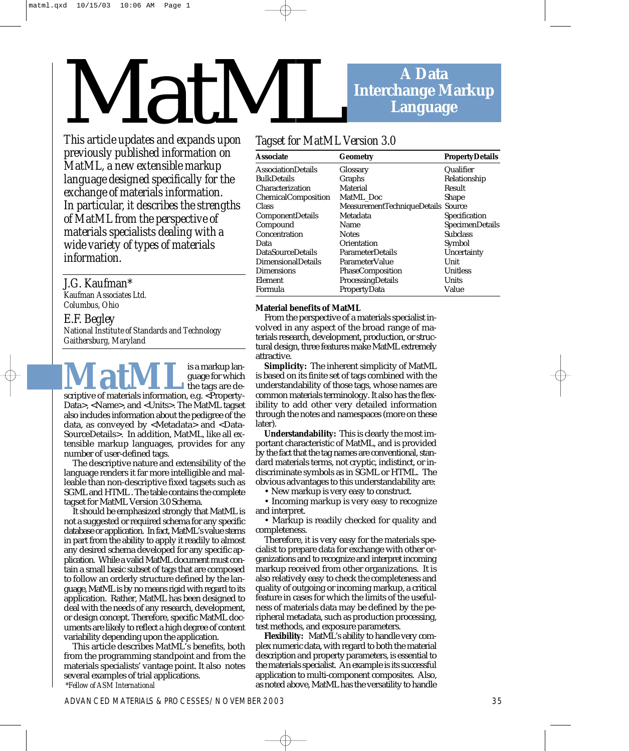# **A Data Interchange Markup Language** MatM

*This article updates and expands upon previously published information on MatML, a new extensible markup language designed specifically for the exchange of materials information. In particular, it describes the strengths of MatML from the perspective of materials specialists dealing with a wide variety of types of materials information.* 

### *J.G. Kaufman\**

*Kaufman Associates Ltd. Columbus, Ohio* 

*E.F. Begley National Institute of Standards and Technology Gaithersburg, Maryland* 

**MatML**<sup>is a markup language for which<br>scriptive of materials information, e.g. <Property-</sup> guage for which the tags are de-Data>, <Name>, and <Units>. The MatML tagset also includes information about the pedigree of the data, as conveyed by <Metadata> and <Data-SourceDetails>. In addition, MatML, like all extensible markup languages, provides for any number of user-defined tags.

The descriptive nature and extensibility of the language renders it far more intelligible and malleable than non-descriptive fixed tagsets such as SGML and HTML . The table contains the complete tagset for MatML Version 3.0 Schema.

It should be emphasized strongly that MatML is not a suggested or required schema for any specific database or application. In fact, MatML's value stems in part from the ability to apply it readily to almost any desired schema developed for any specific application. While a valid MatML document must contain a small basic subset of tags that are composed to follow an orderly structure defined by the language, MatML is by no means rigid with regard to its application. Rather, MatML has been designed to deal with the needs of any research, development, or design concept. Therefore, specific MatML documents are likely to reflect a high degree of content variability depending upon the application.

This article describes MatML's benefits, both from the programming standpoint and from the materials specialists' vantage point. It also notes several examples of trial applications. *\*Fellow of ASM International*

## *Tagset for MatML Version 3.0*

| Associate               | <b>Geometry</b>                    | <b>PropertyDetails</b> |
|-------------------------|------------------------------------|------------------------|
| AssociationDetails      | Glossary                           | Qualifier              |
| BulkDetails             | Graphs                             | Relationship           |
| Characterization        | Material                           | Result                 |
| ChemicalComposition     | MatML_Doc                          | <b>Shape</b>           |
| Class                   | MeasurementTechniqueDetails Source |                        |
| <b>ComponentDetails</b> | Metadata                           | Specification          |
| Compound                | Name                               | SpecimenDetails        |
| Concentration           | <b>Notes</b>                       | <b>Subclass</b>        |
| Data                    | Orientation                        | Symbol                 |
| DataSourceDetails       | <b>ParameterDetails</b>            | Uncertainty            |
| DimensionalDetails      | ParameterValue                     | Unit                   |
| Dimensions              | <b>PhaseComposition</b>            | Unitless               |
| Element                 | ProcessingDetails                  | Units                  |
| Formula                 | PropertyData                       | Value                  |
|                         |                                    |                        |

#### **Material benefits of MatML**

From the perspective of a materials specialist involved in any aspect of the broad range of materials research, development, production, or structural design, three features make MatML extremely attractive.

**Simplicity:** The inherent simplicity of MatML is based on its finite set of tags combined with the understandability of those tags, whose names are common materials terminology. It also has the flexibility to add other very detailed information through the notes and namespaces (more on these later).

**Understandability:** This is clearly the most important characteristic of MatML, and is provided by the fact that the tag names are conventional, standard materials terms, not cryptic, indistinct, or indiscriminate symbols as in SGML or HTML. The obvious advantages to this understandability are:

• New markup is very easy to construct.

• Incoming markup is very easy to recognize and interpret.

• Markup is readily checked for quality and completeness.

Therefore, it is very easy for the materials specialist to prepare data for exchange with other organizations and to recognize and interpret incoming markup received from other organizations. It is also relatively easy to check the completeness and quality of outgoing or incoming markup, a critical feature in cases for which the limits of the usefulness of materials data may be defined by the peripheral metadata, such as production processing, test methods, and exposure parameters.

**Flexibility:** MatML's ability to handle very complex numeric data, with regard to both the material description and property parameters, is essential to the materials specialist. An example is its successful application to multi-component composites. Also, as noted above, MatML has the versatility to handle